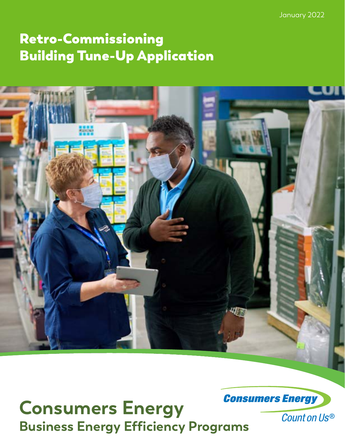January 2022

# Retro-Commissioning Building Tune-Up Application



**Consumers Energy**<br>Business Energy Efficiency Programs<br>Business Energy Efficiency Programs

Count on Us®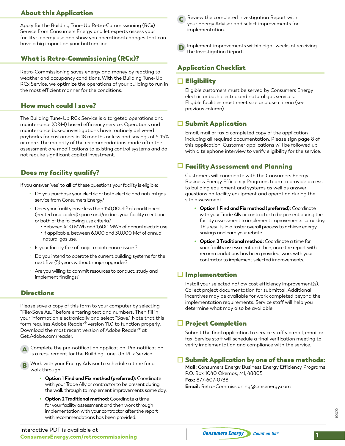Apply for the Building Tune-Up Retro-Commissioning (RCx) Service from Consumers Energy and let experts assess your facility's energy use and show you operational changes that can have a big impact on your bottom line.

# What is Retro-Commissioning (RCx)?

Retro-Commissioning saves energy and money by reacting to weather and occupancy conditions. With the Building Tune-Up RCx Service, we optimize the operations of your building to run in the most efficient manner for the conditions.

# How much could I save?

The Building Tune-Up RCx Service is a targeted operations and maintenance (O&M) based efficiency service. Operations and maintenance based investigations have routinely delivered paybacks for customers in 18 months or less and savings of 5-15% or more. The majority of the recommendations made after the assessment are modifications to existing control systems and do not require significant capital investment.

# Does my facility qualify?

If you answer "yes" to all of these questions your facility is eligible:

- Do you purchase your electric or both electric and natural gas service from Consumers Energy?
- $\cdot$  Does your facility have less than 150,000ft<sup>2</sup> of conditioned (heated and cooled) space and/or does your facility meet one or both of the following use criteria?
	- Between 400 MWh and 1,600 MWh of annual electric use. • If applicable, between 6,000 and 30,000 Mcf of annual natural gas use.
- Is your facility free of major maintenance issues?
- Do you intend to operate the current building systems for the next five (5) years without major upgrades?
- Are you willing to commit resources to conduct, study and implement findings?

# **Directions**

Please save a copy of this form to your computer by selecting "File>Save As..." before entering text and numbers. Then fill in your information electronically and select "Save." Note that this form requires Adobe Reader® version 11.0 to function properly. Download the most recent version of Adobe Reader® at Get.Adobe.com/reader.



Work with your Energy Advisor to schedule a time for a walk through. B

- **• Option 1 Find and Fix method (preferred):** Coordinate with your Trade Ally or contractor to be present during the walk through to implement improvements same day.
- **• Option 2 Traditional method:** Coordinate a time for your facility assessment and then work through implementation with your contractor after the report with recommendations has been provided.
- About this Application **Review the completed Investigation Report with** your Energy Advisor and select improvements for implementation. C
	- Implement improvements within eight weeks of receiving the Investigation Report.

# Application Checklist

# $\Box$  Eligibility

Eligible customers must be served by Consumers Energy electric or both electric and natural gas services. Eligible facilities must meet size and use criteria (see previous column).

# $\Box$  Submit Application

Email, mail or fax a completed copy of the application including all required documentation. Please sign page 8 of this application. Customer applications will be followed up with a telephone interview to verify eligibility for the service.

# $\Box$  Facility Assessment and Planning

Customers will coordinate with the Consumers Energy Business Energy Efficiency Programs team to provide access to building equipment and systems as well as answer questions on facility equipment and operation during the site assessment.

- **• Option 1 Find and Fix method (preferred):** Coordinate with your Trade Ally or contractor to be present during the facility assessment to implement improvements same day. This results in a faster overall process to achieve energy savings and earn your rebate.
- **• Option 2 Traditional method:** Coordinate a time for your facility assessment and then, once the report with recommendations has been provided, work with your contractor to implement selected improvements.

# $\Box$  Implementation

Install your selected no/low cost efficiency improvement(s). Collect project documentation for submittal. Additional incentives may be available for work completed beyond the implementation requirements. Service staff will help you determine what may also be available.

# □ Project Completion

Submit the final application to service staff via mail, email or fax. Service staff will schedule a final verification meeting to verify implementation and compliance with the service.

# $\Box$  Submit Application by <u>one</u> of these methods:

**Mail:** Consumers Energy Business Energy Efficiency Programs P.O. Box 1040 Okemos, MI, 48805 **Fax:** 877-607-0738 **Email:** Retro-Commissioning@cmsenergy.com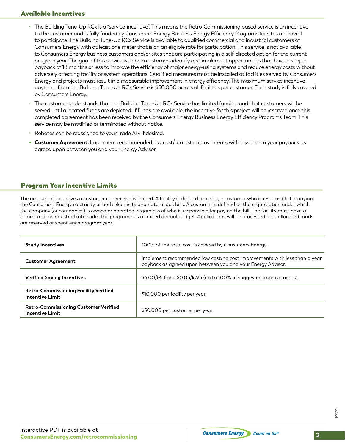# Available Incentives

- The Building Tune-Up RCx is a "service-incentive". This means the Retro-Commissioning based service is an incentive to the customer and is fully funded by Consumers Energy Business Energy Efficiency Programs for sites approved to participate. The Building Tune-Up RCx Service is available to qualified commercial and industrial customers of Consumers Energy with at least one meter that is on an eligible rate for participation. This service is not available to Consumers Energy business customers and/or sites that are participating in a self-directed option for the current program year. The goal of this service is to help customers identify and implement opportunities that have a simple payback of 18 months or less to improve the efficiency of major energy-using systems and reduce energy costs without adversely affecting facility or system operations. Qualified measures must be installed at facilities served by Consumers Energy and projects must result in a measurable improvement in energy efficiency. The maximum service incentive payment from the Building Tune-Up RCx Service is \$50,000 across all facilities per customer. Each study is fully covered by Consumers Energy.
- The customer understands that the Building Tune-Up RCx Service has limited funding and that customers will be served until allocated funds are depleted. If funds are available, the incentive for this project will be reserved once this completed agreement has been received by the Consumers Energy Business Energy Efficiency Programs Team. This service may be modified or terminated without notice.
- Rebates can be reassigned to your Trade Ally if desired.
- **• Customer Agreement:** Implement recommended low cost/no cost improvements with less than a year payback as agreed upon between you and your Energy Advisor.

# Program Year Incentive Limits

The amount of incentives a customer can receive is limited. A facility is defined as a single customer who is responsible for paying the Consumers Energy electricity or both electricity and natural gas bills. A customer is defined as the organization under which the company (or companies) is owned or operated, regardless of who is responsible for paying the bill. The facility must have a commercial or industrial rate code. The program has a limited annual budget. Applications will be processed until allocated funds are reserved or spent each program year.

| <b>Study Incentives</b>                                                | 100% of the total cost is covered by Consumers Energy.                                                                                   |
|------------------------------------------------------------------------|------------------------------------------------------------------------------------------------------------------------------------------|
| <b>Customer Agreement</b>                                              | Implement recommended low cost/no cost improvements with less than a year<br>payback as agreed upon between you and your Energy Advisor. |
| <b>Verified Saving Incentives</b>                                      | \$6.00/Mcf and \$0.05/kWh (up to 100% of suggested improvements).                                                                        |
| <b>Retro-Commissioning Facility Verified</b><br><b>Incentive Limit</b> | \$10,000 per facility per year.                                                                                                          |
| Retro-Commissioning Customer Verified<br>Incentive Limit               | \$50,000 per customer per year.                                                                                                          |

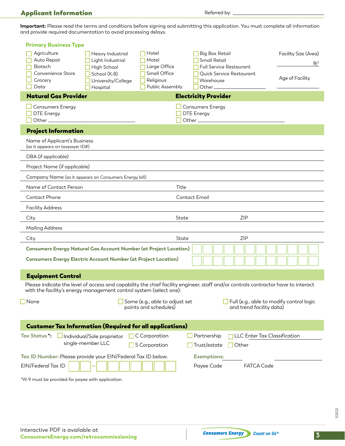# Applicant Information

Referred by:

**Important:** Please read the terms and conditions before signing and submitting this application. You must complete all information and provide required documentation to avoid processing delays.

| <b>Primary Business Type</b>                                                                                                                                                                            |                                                                                           |                                                             |                                                                                                           |                                                                             |                                                            |
|---------------------------------------------------------------------------------------------------------------------------------------------------------------------------------------------------------|-------------------------------------------------------------------------------------------|-------------------------------------------------------------|-----------------------------------------------------------------------------------------------------------|-----------------------------------------------------------------------------|------------------------------------------------------------|
| Agriculture<br>Auto Repair<br>Biotech<br>Convenience Store<br>Grocery                                                                                                                                   | Heavy Industrial<br>Light Industrial<br>High School<br>School (K-8)<br>University/College | Hotel<br>Motel<br>Large Office<br>Small Office<br>Religious | Big Box Retail<br>Small Retail<br><b>Full Service Restaurant</b><br>Quick Service Restaurant<br>Warehouse |                                                                             | Facility Size (Area)<br>ft <sup>2</sup><br>Age of Facility |
| Data<br>Hospital<br><b>Natural Gas Provider</b>                                                                                                                                                         |                                                                                           | Public Assembly                                             | Other_<br><b>Electricity Provider</b>                                                                     |                                                                             |                                                            |
| <b>Consumers Energy</b>                                                                                                                                                                                 |                                                                                           |                                                             | <b>Consumers Energy</b>                                                                                   |                                                                             |                                                            |
| <b>DTE Energy</b><br>Other_                                                                                                                                                                             |                                                                                           |                                                             | <b>DTE</b> Energy<br>Other_                                                                               |                                                                             |                                                            |
| <b>Project Information</b>                                                                                                                                                                              |                                                                                           |                                                             |                                                                                                           |                                                                             |                                                            |
| Name of Applicant's Business<br>(as it appears on taxpayer ID#)                                                                                                                                         |                                                                                           |                                                             |                                                                                                           |                                                                             |                                                            |
| DBA (if applicable)                                                                                                                                                                                     |                                                                                           |                                                             |                                                                                                           |                                                                             |                                                            |
| Project Name (if applicable)                                                                                                                                                                            |                                                                                           |                                                             |                                                                                                           |                                                                             |                                                            |
| Company Name (as it appears on Consumers Energy bill)                                                                                                                                                   |                                                                                           |                                                             |                                                                                                           |                                                                             |                                                            |
| Name of Contact Person                                                                                                                                                                                  |                                                                                           | Title                                                       |                                                                                                           |                                                                             |                                                            |
| Contact Phone                                                                                                                                                                                           |                                                                                           |                                                             | <b>Contact Email</b>                                                                                      |                                                                             |                                                            |
| <b>Facility Address</b>                                                                                                                                                                                 |                                                                                           |                                                             |                                                                                                           |                                                                             |                                                            |
| City                                                                                                                                                                                                    |                                                                                           | State                                                       |                                                                                                           | <b>ZIP</b>                                                                  |                                                            |
| <b>Mailing Address</b>                                                                                                                                                                                  |                                                                                           |                                                             |                                                                                                           |                                                                             |                                                            |
| City                                                                                                                                                                                                    |                                                                                           |                                                             | State                                                                                                     | <b>ZIP</b>                                                                  |                                                            |
| <b>Consumers Energy Natural Gas Account Number (at Project Location)</b>                                                                                                                                |                                                                                           |                                                             |                                                                                                           |                                                                             |                                                            |
| <b>Consumers Energy Electric Account Number (at Project Location)</b>                                                                                                                                   |                                                                                           |                                                             |                                                                                                           |                                                                             |                                                            |
| <b>Equipment Control</b>                                                                                                                                                                                |                                                                                           |                                                             |                                                                                                           |                                                                             |                                                            |
| Please indicate the level of access and capability the chief facility engineer, staff and/or controls contractor have to interact<br>with the facility's energy management control system (select one): |                                                                                           |                                                             |                                                                                                           |                                                                             |                                                            |
| None                                                                                                                                                                                                    |                                                                                           | Some (e.g., able to adjust set<br>points and schedules)     |                                                                                                           | $\Box$ Full (e.g., able to modify control logic<br>and trend facility data) |                                                            |
| <b>Customer Tax Information (Required for all applications)</b>                                                                                                                                         |                                                                                           |                                                             |                                                                                                           |                                                                             |                                                            |
| <b>Tax Status</b> :<br>Individual/Sole proprietor<br>single-member LLC                                                                                                                                  |                                                                                           | C Corporation<br>S Corporation                              | Partnership<br>Trust/estate                                                                               | LLC Enter Tax Classification<br>Other                                       |                                                            |
| Tax ID Number: Please provide your EIN/Federal Tax ID below.                                                                                                                                            |                                                                                           |                                                             | <b>Exemptions:</b>                                                                                        |                                                                             |                                                            |
| EIN/Federal Tax ID                                                                                                                                                                                      |                                                                                           |                                                             | Payee Code                                                                                                | <b>FATCA Code</b>                                                           |                                                            |
| *W-9 must be provided for payee with application.                                                                                                                                                       |                                                                                           |                                                             |                                                                                                           |                                                                             |                                                            |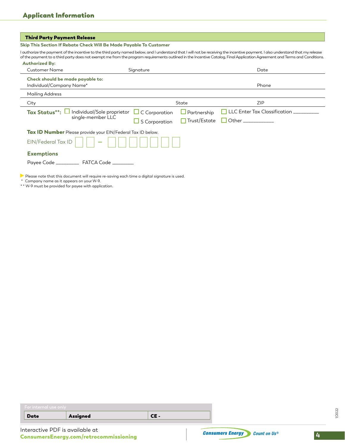#### **Skip This Section If Rebate Check Will Be Made Payable To Customer**

I authorize the payment of the incentive to the third party named below, and I understand that I will not be receiving the incentive payment. I also understand that my release of the payment to a third party does not exempt me from the program requirements outlined in the Incentive Catalog, Final Application Agreement and Terms and Conditions.

| <b>Customer Name</b>                                                    | Signature            |                     | Date                                 |
|-------------------------------------------------------------------------|----------------------|---------------------|--------------------------------------|
| Check should be made payable to:<br>Individual/Company Name*            |                      |                     | Phone                                |
| <b>Mailing Address</b>                                                  |                      |                     |                                      |
| City                                                                    |                      | State               | <b>ZIP</b>                           |
| Individual/Sole proprietor<br><b>Tax Status**:</b><br>single-member LLC | $\Box$ C Corporation | $\Box$ Partnership  | $\Box$ LLC Enter Tax Classification. |
|                                                                         | S Corporation        | $\Box$ Trust/Estate | Other ___________                    |
| Tax ID Number Please provide your EIN/Federal Tax ID below.             |                      |                     |                                      |
| EIN/Federal Tax ID                                                      |                      |                     |                                      |
| <b>Exemptions</b>                                                       |                      |                     |                                      |
| Payee Code ______________ FATCA Code __________                         |                      |                     |                                      |

\* Company name as it appears on your W-9.

\* \* W-9 must be provided for payee with application.

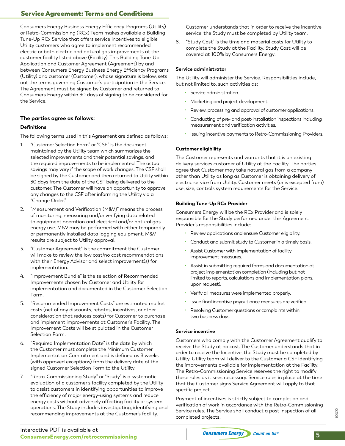# Service Agreement: Terms and Conditions

Consumers Energy Business Energy Efficiency Programs (Utility) or Retro-Commissioning (RCx) Team makes available a Building Tune-Up RCx Service that offers service incentives to eligible Utility customers who agree to implement recommended electric or both electric and natural gas improvements at the customer facility listed above (Facility). This Building Tune-Up Application and Customer Agreement (Agreement) by and between Consumers Energy Business Energy Efficiency Programs (Utility) and customer (Customer), whose signature is below, sets out the terms governing Customer's participation in the Service. The Agreement must be signed by Customer and returned to Consumers Energy within 30 days of signing to be considered for the Service.

#### **The parties agree as follows:**

#### **Definitions**

The following terms used in this Agreement are defined as follows:

- 1. "Customer Selection Form" or "CSF" is the document maintained by the Utility team which summarizes the selected improvements and their potential savings, and the required improvements to be implemented. The actual savings may vary if the scope of work changes. The CSF shall be signed by the Customer and then returned to Utility within 30 days from the date of the CSF being delivered to the customer. The Customer will have an opportunity to approve any changes to the CSF after informing the Utility via a "Change Order."
- 2. "Measurement and Verification (M&V)" means the process of monitoring, measuring and/or verifying data related to equipment operation and electrical and/or natural gas energy use. M&V may be performed with either temporarily or permanently installed data logging equipment. M&V results are subject to Utility approval.
- 3. "Customer Agreement" is the commitment the Customer will make to review the low cost/no cost recommendations with their Energy Advisor and select improvement(s) for implementation.
- 4. "Improvement Bundle" is the selection of Recommended Improvements chosen by Customer and Utility for implementation and documented in the Customer Selection Form.
- 5. "Recommended Improvement Costs" are estimated market costs (net of any discounts, rebates, incentives, or other consideration that reduces costs) for Customer to purchase and implement improvements at Customer's Facility. The Improvement Costs will be stipulated in the Customer Selection Form.
- 6. "Required Implementation Date" is the date by which the Customer must complete the Minimum Customer Implementation Commitment and is defined as 8 weeks (with approved exceptions) from the delivery date of the signed Customer Selection Form to the Utility.
- 7. "Retro-Commissioning Study" or "Study" is a systematic evaluation of a customer's facility completed by the Utility to assist customers in identifying opportunities to improve the efficiency of major energy-using systems and reduce energy costs without adversely affecting facility or system operations. The Study includes investigating, identifying and recommending improvements at the Customer's facility.

Customer understands that in order to receive the incentive service, the Study must be completed by Utility team.

8. "Study Cost" is the time and material costs for Utility to complete the Study at the Facility. Study Cost will be covered at 100% by Consumers Energy.

#### **Service administrator**

The Utility will administer the Service. Responsibilities include, but not limited to, such activities as:

- Service administration.
- Marketing and project development.
- Review, processing and approval of customer applications.
- Conducting of pre- and post-installation inspections including measurement and verification activities.
- Issuing incentive payments to Retro-Commissioning Providers.

#### **Customer eligibility**

The Customer represents and warrants that it is an existing delivery services customer of Utility at the Facility. The parties agree that Customer may take natural gas from a company other than Utility as long as Customer is obtaining delivery of electric service from Utility. Customer meets (or is excepted from) use, size, controls system requirements for the Service.

#### **Building Tune-Up RCx Provider**

Consumers Energy will be the RCx Provider and is solely responsible for the Study performed under this Agreement. Provider's responsibilities include:

- Review applications and ensure Customer eligibility.
- Conduct and submit study to Customer in a timely basis.
- Assist Customer with implementation of facility improvement measures.
- Assist in submitting required forms and documentation at project implementation completion (including but not limited to reports, calculations and implementation plans, upon request).
- Verify all measures were implemented properly.
- Issue final incentive payout once measures are verified.
- Resolving Customer questions or complaints within two business days.

#### **Service incentive**

Customers who comply with the Customer Agreement qualify to receive the Study at no cost. The Customer understands that in order to receive the Incentive, the Study must be completed by Utility. Utility team will deliver to the Customer a CSF identifying the improvements available for implementation at the Facility. The Retro-Commissioning Service reserves the right to modify these rules as it sees necessary. Service rules in place at the time that the Customer signs Service Agreement will apply to that specific project.

Payment of incentives is strictly subject to completion and verification of work in accordance with the Retro-Commissioning Service rules. The Service shall conduct a post inspection of all completed projects.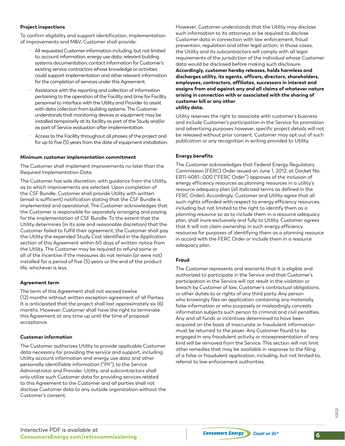#### **Project inspections**

To confirm eligibility and support identification, implementation of improvements and M&V, Customer shall provide:

- All requested Customer information including, but not limited to, account information, energy use data, relevant building systems documentation, contact information for Customer's existing service contractors whose knowledge or activities could support implementation and other relevant information for the completion of services under this Agreement.
- Assistance with the reporting and collection of information pertaining to the operation of the Facility and time for Facility personnel to interface with the Utility and Provider to assist with data collection from building systems. The Customer understands that monitoring devices or equipment may be installed temporarily at its facility as part of the Study and/or as part of Service evaluation after implementation.
- Access to the Facility throughout all phases of the project and for up to five (5) years from the date of equipment installation.

#### **Minimum customer implementation commitment**

The Customer shall implement improvements no later than the Required Implementation Date.

The Customer has sole discretion, with guidance from the Utility, as to which improvements are selected. Upon completion of the CSF Bundle, Customer shall provide Utility with written (email is sufficient) notification stating that the CSF Bundle is implemented and operational. The Customer acknowledges that the Customer is responsible for separately arranging and paying for the implementation of CSF Bundle. To the extent that the Utility determines (in its sole and reasonable discretion) that the Customer failed to fulfill their agreement, the Customer shall pay the Utility the expended Study Cost identified in the Application section of this Agreement within 60 days of written notice from the Utility. The Customer may be required to refund some or all of the Incentive if the measures do not remain (or were not) installed for a period of five (5) years or the end of the product life, whichever is less.

#### **Agreement term**

The term of this Agreement shall not exceed twelve (12) months without written exception agreement of all Parties. It is anticipated that the project shall last approximately six (6) months. However, Customer shall have the right to terminate this Agreement at any time up until the time of proposal acceptance.

#### **Customer information**

The Customer authorizes Utility to provide applicable Customer data necessary for providing the service and support, including Utility account information and energy use data and other personally-identifiable information ("PII"), to the Service Administrator and Provider. Utility, and subcontractors shall only utilize such Customer data for providing services related to this Agreement to the Customer and all parties shall not disclose Customer data to any outside organization without the Customer's consent.

However, Customer understands that the Utility may disclose such information to its attorneys or be required to disclose Customer data in connection with law enforcement, fraud prevention, regulation and other legal action; in those cases, the Utility and its subcontractors will comply with all legal requirements of the jurisdiction of the individual whose Customer data would be disclosed before making such disclosure.

**Accordingly, customer hereby releases, holds harmless and discharges utility, its agents, officers, directors, shareholders, employees, contractors, affiliates, successors in interest and assigns from and against any and all claims of whatever nature arising in connection with or associated with the sharing of customer bill or any other utility data.**

Utility reserves the right to associate with customer's business and include Customer's participation in the Service for promotion and advertising purposes however, specific project details will not be released without prior consent. Customer may opt out of such publication or any recognition in writing provided to Utility.

#### **Energy benefits**

The Customer acknowledges that Federal Energy Regulatory Commission (FERC) Order issued on June 1, 2012, at Docket No. ER11-4081- 000 ("FERC Order") approves of the inclusion of energy efficiency resources as planning resources in a utility's resource adequacy plan (all italicized terms as defined in the FERC Order). Accordingly, Customer and Utility agree that all such rights afforded with respect to energy efficiency resources, including but not limited to the right to identify them as a planning resource so as to include them in a resource adequacy plan, shall inure exclusively and fully to Utility. Customer agrees that it will not claim ownership in such energy efficiency resources for purposes of identifying them as a planning resource in accord with the FERC Order or include them in a resource adequacy plan.

#### **Fraud**

The Customer represents and warrants that it is eligible and authorized to participate in the Service and that Customer's participation in the Service will not result in the violation or breach by Customer of law, Customer's contractual obligations, or other duties to or rights of any third party. Any person who knowingly files an application containing any materially false information or who purposely or misleadingly conceals information subjects such person to criminal and civil penalties. Any and all funds or incentives determined to have been acquired on the basis of inaccurate or fraudulent information must be returned to the payer. Any Customer found to be engaged in any fraudulent activity or misrepresentation of any kind will be removed from the Service. This section will not limit other remedies that may be available in response to the filing of a false or fraudulent application, including, but not limited to, referral to law enforcement authorities.

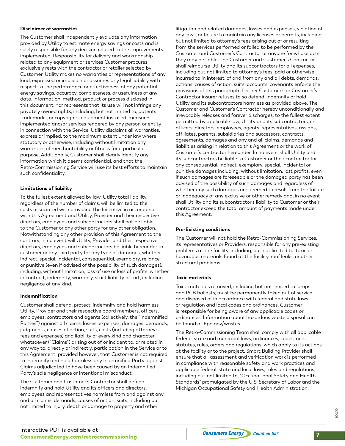#### **Disclaimer of warranties**

The Customer shall independently evaluate any information provided by Utility to estimate energy savings or costs and is solely responsible for any decision related to the improvements implemented. Responsibility for delivery and workmanship related to any equipment or services Customer procures exclusively rests with the contractor or retailer selected by Customer. Utility makes no warranties or representations of any kind, expressed or implied, nor assumes any legal liability with respect to the performance or effectiveness of any potential energy savings, accuracy, completeness, or usefulness of any data, information, method, product or process disclosed in this document, nor represents that its use will not infringe any privately owned rights, including, but not limited to, patents, trademarks, or copyrights, equipment installed, measures implemented and/or services rendered by any person or entity in connection with the Service. Utility disclaims all warranties, express or implied, to the maximum extent under law where statutory or otherwise, including without limitation any warranties of merchantability or fitness for a particular purpose. Additionally, Customer shall clearly identify any information which it deems confidential, and that the Retro-Commissioning Service will use its best efforts to maintain such confidentiality.

#### **Limitations of liability**

To the fullest extent allowed by law, Utility total liability, regardless of the number of claims, will be limited to the costs associated with providing the Incentive in accordance with this Agreement and Utility, Provider and their respective directors, employees and subcontractors shall not be liable to the Customer or any other party for any other obligation. Notwithstanding any other provision of this Agreement to the contrary, in no event will Utility, Provider and their respective directors, employees and subcontractors be liable hereunder to customer or any third party for any type of damages, whether indirect, special, incidental, consequential, exemplary, reliance or punitive (even if advised of the possibility of such damages), including, without limitation, loss of use or loss of profits, whether in contract, indemnity, warranty, strict liability or tort, including negligence of any kind.

#### **Indemnification**

Customer shall defend, protect, indemnify and hold harmless Utility, Provider and their respective board members, officers, employees, contractors and agents (collectively, the "Indemnified Parties") against all claims, losses, expenses, damages, demands, judgments, causes of action, suits, costs (including attorney's fees and expenses) and liability of every kind and character whatsoever ("Claims") arising out of or incident to, or related in any way to, directly or indirectly, participation in the Service or to this Agreement; provided however, that Customer is not required to indemnify and hold harmless any Indemnified Party against Claims adjudicated to have been caused by an Indemnified Party's sole negligence or intentional misconduct.

The Customer and Customer's Contractor shall defend, indemnify and hold Utility and its officers and directors, employees and representatives harmless from and against any and all claims, demands, causes of action, suits, including but not limited to injury, death or damage to property and other

litigation and related damages, losses and expenses, violation of any laws, or failure to maintain any licenses or permits, including but not limited to attorney's fees arising out of or resulting from the services performed or failed to be performed by the Customer and Customer's Contractor or anyone for whose acts they may be liable. The Customer and Customer's Contractor shall reimburse Utility and its subcontractors for all expenses, including but not limited to attorney's fees, paid or otherwise incurred to in interest, of and from any and all debts, demands, actions, causes of action, suits, accounts, covenants enforce the provisions of this paragraph if either Customer's or Customer's Contractor insurer refuses to so defend, indemnify or hold Utility and its subcontractors harmless as provided above. The Customer and Customer's Contractor hereby unconditionally and irrevocably releases and forever discharges, to the fullest extent permitted by applicable law, Utility and its subcontractors, its officers, directors, employees, agents, representatives, assigns, affiliates, parents, subsidiaries and successors, contracts, agreements, damages and any and all claims, demands and liabilities arising in relation to this Agreement or the work of Customer's contractor hereunder. In no event shall Utility and its subcontractors be liable to Customer or their contractor for any consequential, indirect, exemplary, special, incidental or punitive damages including, without limitation, lost profits, even if such damages are foreseeable or the damaged party has been advised of the possibility of such damages and regardless of whether any such damages are deemed to result from the failure or inadequacy of any exclusive or other remedy and, in no event shall Utility and its subcontractor's liability to Customer or their contractor exceed the total amount of payments made under this Agreement.

#### **Pre-Existing conditions**

The Customer will not hold the Retro-Commissioning Services, its representatives or Providers, responsible for any pre-existing problems at the facility, including, but not limited to, toxic or hazardous materials found at the facility, roof leaks, or other structural problems.

#### **Toxic materials**

Toxic materials removed, including but not limited to lamps and PCB ballasts, must be permanently taken out of service and disposed of in accordance with federal and state laws or regulation and local codes and ordinances. Customer is responsible for being aware of any applicable codes or ordinances. Information about hazardous waste disposal can be found at Epa.gov/wastes.

The Retro-Commissioning Team shall comply with all applicable federal, state and municipal laws, ordinances, codes, acts, statutes, rules, orders and regulations, which apply to its actions at the facility or to the project. Smart Building Provider shall ensure that all assessment and verification work is performed in compliance with reasonable safety and work practices and applicable federal, state and local laws, rules and regulations, including but not limited to, "Occupational Safety and Health Standards" promulgated by the U.S. Secretary of Labor and the Michigan Occupational Safety and Health Administration.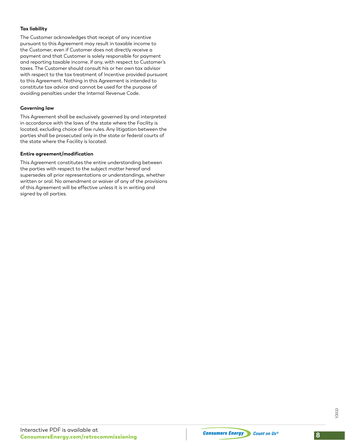#### **Tax liability**

The Customer acknowledges that receipt of any incentive pursuant to this Agreement may result in taxable income to the Customer, even if Customer does not directly receive a payment and that Customer is solely responsible for payment and reporting taxable income, if any, with respect to Customer's taxes. The Customer should consult his or her own tax advisor with respect to the tax treatment of Incentive provided pursuant to this Agreement. Nothing in this Agreement is intended to constitute tax advice and cannot be used for the purpose of avoiding penalties under the Internal Revenue Code.

#### **Governing law**

This Agreement shall be exclusively governed by and interpreted in accordance with the laws of the state where the Facility is located, excluding choice of law rules. Any litigation between the parties shall be prosecuted only in the state or federal courts of the state where the Facility is located.

#### **Entire agreement/modification**

This Agreement constitutes the entire understanding between the parties with respect to the subject matter hereof and supersedes all prior representations or understandings, whether written or oral. No amendment or waiver of any of the provisions of this Agreement will be effective unless it is in writing and signed by all parties.